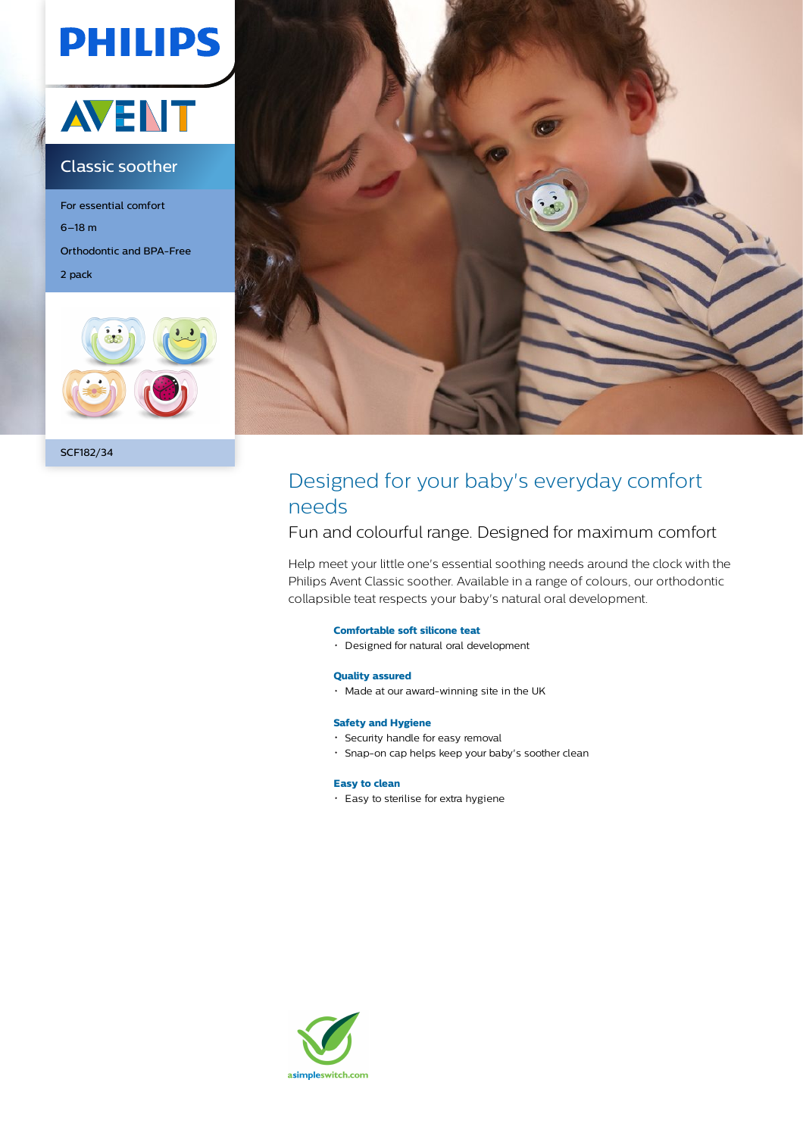# **PHILIPS**



### Classic soother

For essential comfort 6–18 m Orthodontic and BPA-Free 2 pack





## Designed for your baby's everyday comfort needs

### Fun and colourful range. Designed for maximum comfort

Help meet your little one's essential soothing needs around the clock with the Philips Avent Classic soother. Available in a range of colours, our orthodontic collapsible teat respects your baby's natural oral development.

### **Comfortable soft silicone teat**

Designed for natural oral development

### **Quality assured**

Made at our award-winning site in the UK

### **Safety and Hygiene**

- Security handle for easy removal
- Snap-on cap helps keep your baby's soother clean

### **Easy to clean**

Easy to sterilise for extra hygiene